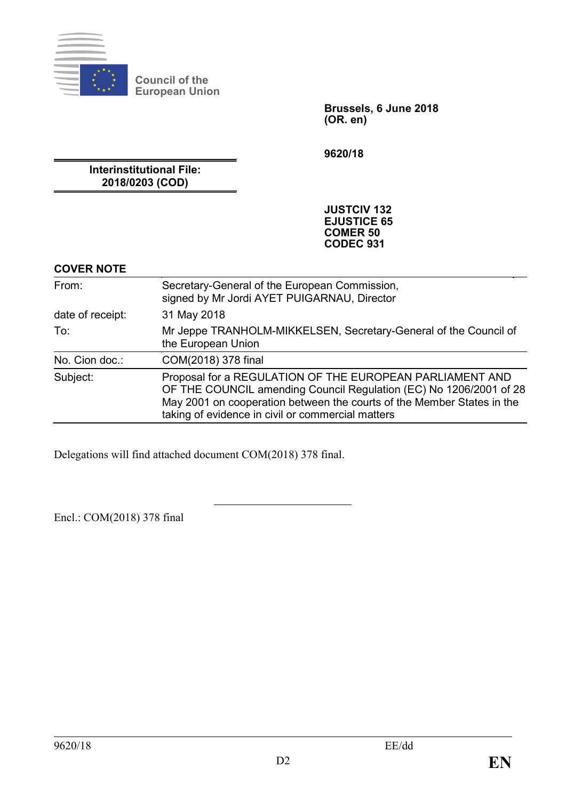

**Council of the European Union**

> **Brussels, 6 June 2018 (OR. en)**

**9620/18**

**Interinstitutional File: 2018/0203 (COD)**

> **JUSTCIV 132 EJUSTICE 65 COMER 50 CODEC 931**

### **COVER NOTE**

| From:            | Secretary-General of the European Commission,<br>signed by Mr Jordi AYET PUIGARNAU, Director                                                                                                                                                                  |
|------------------|---------------------------------------------------------------------------------------------------------------------------------------------------------------------------------------------------------------------------------------------------------------|
| date of receipt: | 31 May 2018                                                                                                                                                                                                                                                   |
| To:              | Mr Jeppe TRANHOLM-MIKKELSEN, Secretary-General of the Council of<br>the European Union                                                                                                                                                                        |
| No. Cion doc.:   | COM(2018) 378 final                                                                                                                                                                                                                                           |
| Subject:         | Proposal for a REGULATION OF THE EUROPEAN PARLIAMENT AND<br>OF THE COUNCIL amending Council Regulation (EC) No 1206/2001 of 28<br>May 2001 on cooperation between the courts of the Member States in the<br>taking of evidence in civil or commercial matters |

Delegations will find attached document COM(2018) 378 final.

Encl.: COM(2018) 378 final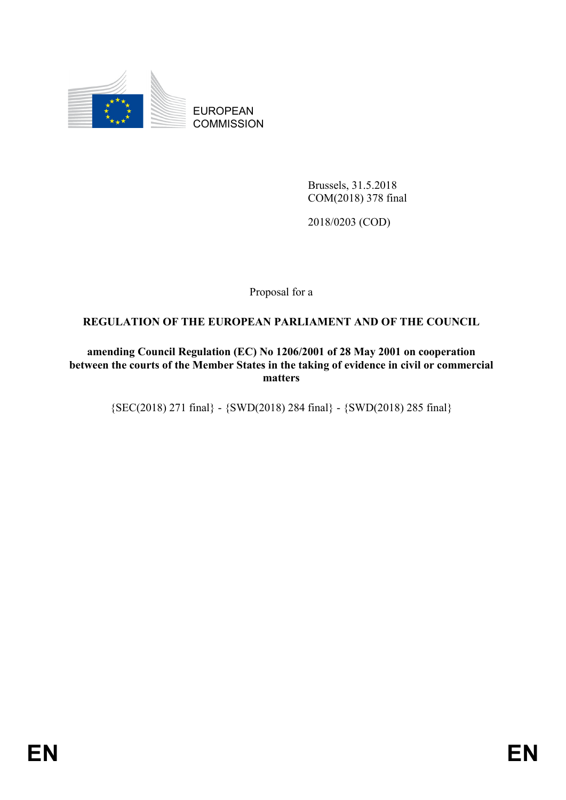

EUROPEAN **COMMISSION** 

> Brussels, 31.5.2018 COM(2018) 378 final

2018/0203 (COD)

Proposal for a

# **REGULATION OF THE EUROPEAN PARLIAMENT AND OF THE COUNCIL**

**amending Council Regulation (EC) No 1206/2001 of 28 May 2001 on cooperation between the courts of the Member States in the taking of evidence in civil or commercial matters**

{SEC(2018) 271 final} - {SWD(2018) 284 final} - {SWD(2018) 285 final}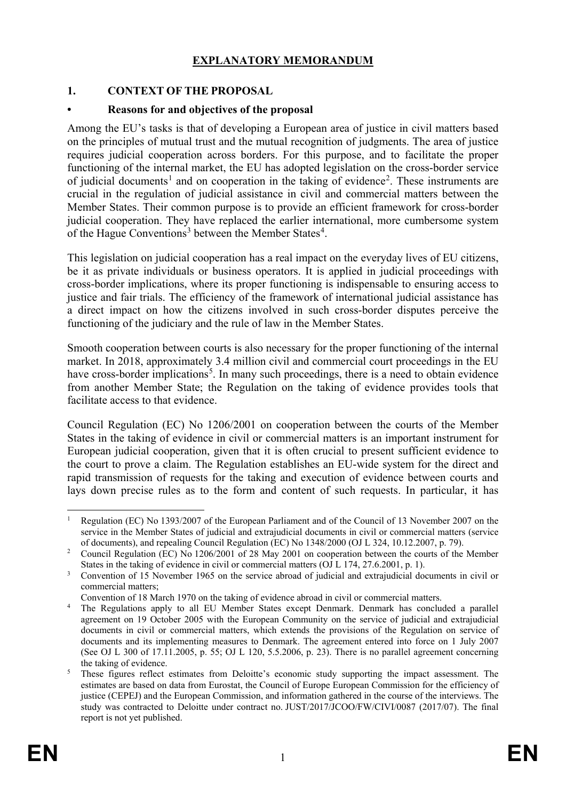### **EXPLANATORY MEMORANDUM**

## **1. CONTEXT OF THE PROPOSAL**

### **• Reasons for and objectives of the proposal**

Among the EU's tasks is that of developing a European area of justice in civil matters based on the principles of mutual trust and the mutual recognition of judgments. The area of justice requires judicial cooperation across borders. For this purpose, and to facilitate the proper functioning of the internal market, the EU has adopted legislation on the cross-border service of judicial documents<sup>[1](#page-2-0)</sup> and on cooperation in the taking of evidence<sup>[2](#page-2-1)</sup>. These instruments are crucial in the regulation of judicial assistance in civil and commercial matters between the Member States. Their common purpose is to provide an efficient framework for cross-border judicial cooperation. They have replaced the earlier international, more cumbersome system of the Hague Conventions<sup>[3](#page-2-2)</sup> between the Member States<sup>[4](#page-2-3)</sup>.

This legislation on judicial cooperation has a real impact on the everyday lives of EU citizens, be it as private individuals or business operators. It is applied in judicial proceedings with cross-border implications, where its proper functioning is indispensable to ensuring access to justice and fair trials. The efficiency of the framework of international judicial assistance has a direct impact on how the citizens involved in such cross-border disputes perceive the functioning of the judiciary and the rule of law in the Member States.

Smooth cooperation between courts is also necessary for the proper functioning of the internal market. In 2018, approximately 3.4 million civil and commercial court proceedings in the EU have cross-border implications<sup>[5](#page-2-4)</sup>. In many such proceedings, there is a need to obtain evidence from another Member State; the Regulation on the taking of evidence provides tools that facilitate access to that evidence.

Council Regulation (EC) No 1206/2001 on cooperation between the courts of the Member States in the taking of evidence in civil or commercial matters is an important instrument for European judicial cooperation, given that it is often crucial to present sufficient evidence to the court to prove a claim. The Regulation establishes an EU-wide system for the direct and rapid transmission of requests for the taking and execution of evidence between courts and lays down precise rules as to the form and content of such requests. In particular, it has

<span id="page-2-0"></span> <sup>1</sup> Regulation (EC) No 1393/2007 of the European Parliament and of the Council of 13 November 2007 on the service in the Member States of judicial and extrajudicial documents in civil or commercial matters (service of documents), and repealing Council Regulation (EC) No 1348/2000 (OJ L 324, 10.12.2007, p. 79).

<span id="page-2-1"></span><sup>&</sup>lt;sup>2</sup> Council Regulation (EC) No 1206/2001 of 28 May 2001 on cooperation between the courts of the Member States in the taking of evidence in civil or commercial matters (OJ L 174, 27.6.2001, p. 1).

<span id="page-2-2"></span><sup>&</sup>lt;sup>3</sup> Convention of 15 November 1965 on the service abroad of judicial and extrajudicial documents in civil or commercial matters;

Convention of 18 March 1970 on the taking of evidence abroad in civil or commercial matters.

<span id="page-2-3"></span><sup>&</sup>lt;sup>4</sup> The Regulations apply to all EU Member States except Denmark. Denmark has concluded a parallel agreement on 19 October 2005 with the European Community on the service of judicial and extrajudicial documents in civil or commercial matters, which extends the provisions of the Regulation on service of documents and its implementing measures to Denmark. The agreement entered into force on 1 July 2007 (See OJ L 300 of 17.11.2005, p. 55; OJ L 120, 5.5.2006, p. 23). There is no parallel agreement concerning the taking of evidence.

<span id="page-2-4"></span><sup>&</sup>lt;sup>5</sup> These figures reflect estimates from Deloitte's economic study supporting the impact assessment. The estimates are based on data from Eurostat, the Council of Europe European Commission for the efficiency of justice (CEPEJ) and the European Commission, and information gathered in the course of the interviews. The study was contracted to Deloitte under contract no. JUST/2017/JCOO/FW/CIVI/0087 (2017/07). The final report is not yet published.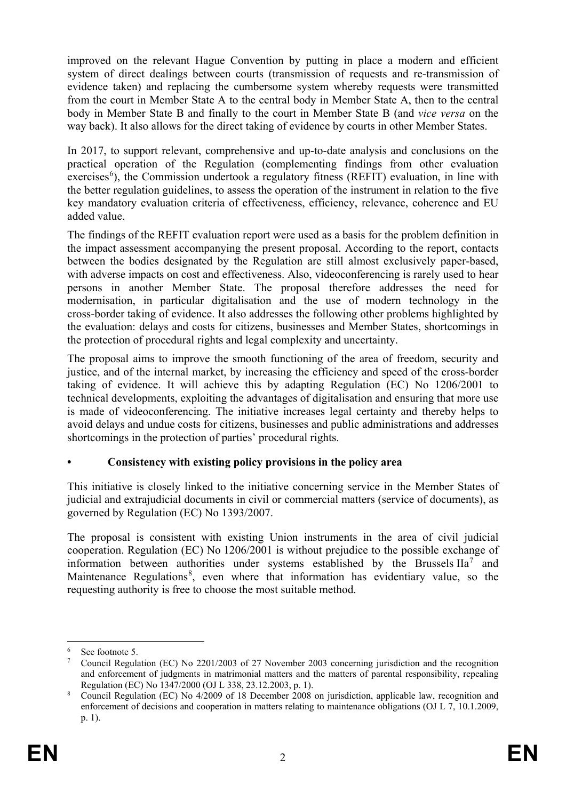improved on the relevant Hague Convention by putting in place a modern and efficient system of direct dealings between courts (transmission of requests and re-transmission of evidence taken) and replacing the cumbersome system whereby requests were transmitted from the court in Member State A to the central body in Member State A, then to the central body in Member State B and finally to the court in Member State B (and *vice versa* on the way back). It also allows for the direct taking of evidence by courts in other Member States.

In 2017, to support relevant, comprehensive and up-to-date analysis and conclusions on the practical operation of the Regulation (complementing findings from other evaluation exercises<sup>[6](#page-3-0)</sup>), the Commission undertook a regulatory fitness (REFIT) evaluation, in line with the better regulation guidelines, to assess the operation of the instrument in relation to the five key mandatory evaluation criteria of effectiveness, efficiency, relevance, coherence and EU added value.

The findings of the REFIT evaluation report were used as a basis for the problem definition in the impact assessment accompanying the present proposal. According to the report, contacts between the bodies designated by the Regulation are still almost exclusively paper-based, with adverse impacts on cost and effectiveness. Also, videoconferencing is rarely used to hear persons in another Member State. The proposal therefore addresses the need for modernisation, in particular digitalisation and the use of modern technology in the cross-border taking of evidence. It also addresses the following other problems highlighted by the evaluation: delays and costs for citizens, businesses and Member States, shortcomings in the protection of procedural rights and legal complexity and uncertainty.

The proposal aims to improve the smooth functioning of the area of freedom, security and justice, and of the internal market, by increasing the efficiency and speed of the cross-border taking of evidence. It will achieve this by adapting Regulation (EC) No 1206/2001 to technical developments, exploiting the advantages of digitalisation and ensuring that more use is made of videoconferencing. The initiative increases legal certainty and thereby helps to avoid delays and undue costs for citizens, businesses and public administrations and addresses shortcomings in the protection of parties' procedural rights.

# **• Consistency with existing policy provisions in the policy area**

This initiative is closely linked to the initiative concerning service in the Member States of judicial and extrajudicial documents in civil or commercial matters (service of documents), as governed by Regulation (EC) No 1393/2007.

The proposal is consistent with existing Union instruments in the area of civil judicial cooperation. Regulation (EC) No 1206/2001 is without prejudice to the possible exchange of information between authorities under systems established by the Brussels  $IIa^7$  $IIa^7$  and Maintenance Regulations<sup>[8](#page-3-2)</sup>, even where that information has evidentiary value, so the requesting authority is free to choose the most suitable method.

<span id="page-3-0"></span> <sup>6</sup> See footnote 5.

<span id="page-3-1"></span><sup>7</sup> Council Regulation (EC) No 2201/2003 of 27 November 2003 concerning jurisdiction and the recognition and enforcement of judgments in matrimonial matters and the matters of parental responsibility, repealing Regulation (EC) No 1347/2000 (OJ L 338, 23.12.2003, p. 1).

<span id="page-3-2"></span><sup>8</sup> Council Regulation (EC) No 4/2009 of 18 December 2008 on jurisdiction, applicable law, recognition and enforcement of decisions and cooperation in matters relating to maintenance obligations (OJ L 7, 10.1.2009, p. 1).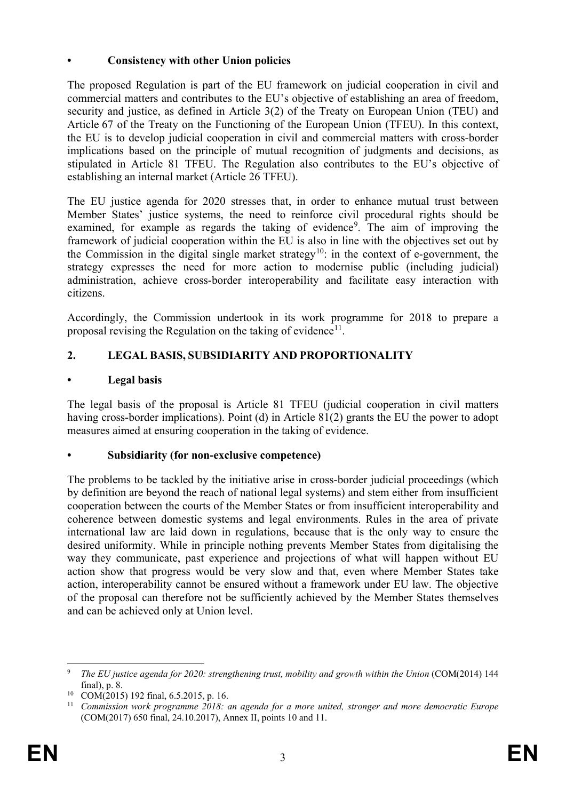## **• Consistency with other Union policies**

The proposed Regulation is part of the EU framework on judicial cooperation in civil and commercial matters and contributes to the EU's objective of establishing an area of freedom, security and justice, as defined in Article 3(2) of the Treaty on European Union (TEU) and Article 67 of the Treaty on the Functioning of the European Union (TFEU). In this context, the EU is to develop judicial cooperation in civil and commercial matters with cross-border implications based on the principle of mutual recognition of judgments and decisions, as stipulated in Article 81 TFEU. The Regulation also contributes to the EU's objective of establishing an internal market (Article 26 TFEU).

The EU justice agenda for 2020 stresses that, in order to enhance mutual trust between Member States' justice systems, the need to reinforce civil procedural rights should be examined, for example as regards the taking of evidence<sup>[9](#page-4-0)</sup>. The aim of improving the framework of judicial cooperation within the EU is also in line with the objectives set out by the Commission in the digital single market strategy<sup>10</sup>: in the context of e-government, the strategy expresses the need for more action to modernise public (including judicial) administration, achieve cross-border interoperability and facilitate easy interaction with citizens.

Accordingly, the Commission undertook in its work programme for 2018 to prepare a proposal revising the Regulation on the taking of evidence<sup>11</sup>.

# **2. LEGAL BASIS, SUBSIDIARITY AND PROPORTIONALITY**

# **• Legal basis**

The legal basis of the proposal is Article 81 TFEU (judicial cooperation in civil matters having cross-border implications). Point (d) in Article 81(2) grants the EU the power to adopt measures aimed at ensuring cooperation in the taking of evidence.

# **• Subsidiarity (for non-exclusive competence)**

The problems to be tackled by the initiative arise in cross-border judicial proceedings (which by definition are beyond the reach of national legal systems) and stem either from insufficient cooperation between the courts of the Member States or from insufficient interoperability and coherence between domestic systems and legal environments. Rules in the area of private international law are laid down in regulations, because that is the only way to ensure the desired uniformity. While in principle nothing prevents Member States from digitalising the way they communicate, past experience and projections of what will happen without EU action show that progress would be very slow and that, even where Member States take action, interoperability cannot be ensured without a framework under EU law. The objective of the proposal can therefore not be sufficiently achieved by the Member States themselves and can be achieved only at Union level.

<span id="page-4-0"></span> <sup>9</sup> *The EU justice agenda for 2020: strengthening trust, mobility and growth within the Union* (COM(2014) 144 final), p. 8.

<span id="page-4-1"></span><sup>&</sup>lt;sup>10</sup> COM(2015) 192 final, 6.5.2015, p. 16.<br><sup>11</sup> Commission work programme, 2018.

<span id="page-4-2"></span><sup>11</sup> *Commission work programme 2018: an agenda for a more united, stronger and more democratic Europe* (COM(2017) 650 final, 24.10.2017), Annex II, points 10 and 11.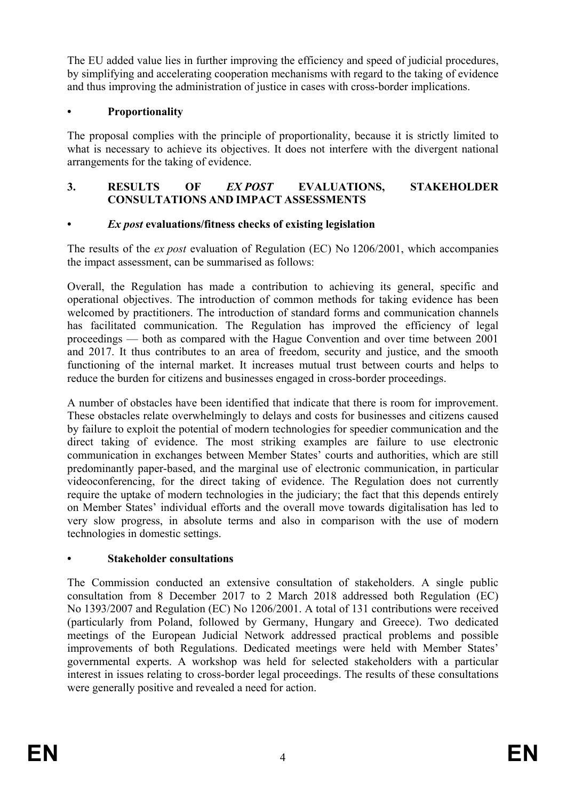The EU added value lies in further improving the efficiency and speed of judicial procedures, by simplifying and accelerating cooperation mechanisms with regard to the taking of evidence and thus improving the administration of justice in cases with cross-border implications.

# **• Proportionality**

The proposal complies with the principle of proportionality, because it is strictly limited to what is necessary to achieve its objectives. It does not interfere with the divergent national arrangements for the taking of evidence.

## **3. RESULTS OF** *EX POST* **EVALUATIONS, STAKEHOLDER CONSULTATIONS AND IMPACT ASSESSMENTS**

## **•** *Ex post* **evaluations/fitness checks of existing legislation**

The results of the *ex post* evaluation of Regulation (EC) No 1206/2001, which accompanies the impact assessment, can be summarised as follows:

Overall, the Regulation has made a contribution to achieving its general, specific and operational objectives. The introduction of common methods for taking evidence has been welcomed by practitioners. The introduction of standard forms and communication channels has facilitated communication. The Regulation has improved the efficiency of legal proceedings — both as compared with the Hague Convention and over time between 2001 and 2017. It thus contributes to an area of freedom, security and justice, and the smooth functioning of the internal market. It increases mutual trust between courts and helps to reduce the burden for citizens and businesses engaged in cross-border proceedings.

A number of obstacles have been identified that indicate that there is room for improvement. These obstacles relate overwhelmingly to delays and costs for businesses and citizens caused by failure to exploit the potential of modern technologies for speedier communication and the direct taking of evidence. The most striking examples are failure to use electronic communication in exchanges between Member States' courts and authorities, which are still predominantly paper-based, and the marginal use of electronic communication, in particular videoconferencing, for the direct taking of evidence. The Regulation does not currently require the uptake of modern technologies in the judiciary; the fact that this depends entirely on Member States' individual efforts and the overall move towards digitalisation has led to very slow progress, in absolute terms and also in comparison with the use of modern technologies in domestic settings.

### **• Stakeholder consultations**

The Commission conducted an extensive consultation of stakeholders. A single public consultation from 8 December 2017 to 2 March 2018 addressed both Regulation (EC) No 1393/2007 and Regulation (EC) No 1206/2001. A total of 131 contributions were received (particularly from Poland, followed by Germany, Hungary and Greece). Two dedicated meetings of the European Judicial Network addressed practical problems and possible improvements of both Regulations. Dedicated meetings were held with Member States' governmental experts. A workshop was held for selected stakeholders with a particular interest in issues relating to cross-border legal proceedings. The results of these consultations were generally positive and revealed a need for action.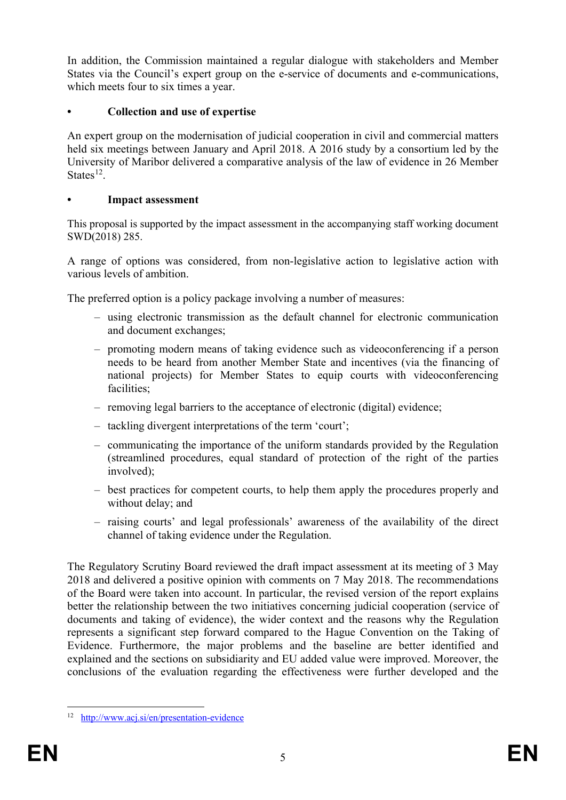In addition, the Commission maintained a regular dialogue with stakeholders and Member States via the Council's expert group on the e-service of documents and e-communications, which meets four to six times a year.

# **• Collection and use of expertise**

An expert group on the modernisation of judicial cooperation in civil and commercial matters held six meetings between January and April 2018. A 2016 study by a consortium led by the University of Maribor delivered a comparative analysis of the law of evidence in 26 Member States $12$ .

### **• Impact assessment**

This proposal is supported by the impact assessment in the accompanying staff working document SWD(2018) 285.

A range of options was considered, from non-legislative action to legislative action with various levels of ambition.

The preferred option is a policy package involving a number of measures:

- using electronic transmission as the default channel for electronic communication and document exchanges;
- promoting modern means of taking evidence such as videoconferencing if a person needs to be heard from another Member State and incentives (via the financing of national projects) for Member States to equip courts with videoconferencing facilities;
- removing legal barriers to the acceptance of electronic (digital) evidence;
- tackling divergent interpretations of the term 'court';
- communicating the importance of the uniform standards provided by the Regulation (streamlined procedures, equal standard of protection of the right of the parties involved);
- best practices for competent courts, to help them apply the procedures properly and without delay; and
- raising courts' and legal professionals' awareness of the availability of the direct channel of taking evidence under the Regulation.

The Regulatory Scrutiny Board reviewed the draft impact assessment at its meeting of 3 May 2018 and delivered a positive opinion with comments on 7 May 2018. The recommendations of the Board were taken into account. In particular, the revised version of the report explains better the relationship between the two initiatives concerning judicial cooperation (service of documents and taking of evidence), the wider context and the reasons why the Regulation represents a significant step forward compared to the Hague Convention on the Taking of Evidence. Furthermore, the major problems and the baseline are better identified and explained and the sections on subsidiarity and EU added value were improved. Moreover, the conclusions of the evaluation regarding the effectiveness were further developed and the

<span id="page-6-0"></span> <sup>12</sup> <http://www.acj.si/en/presentation-evidence>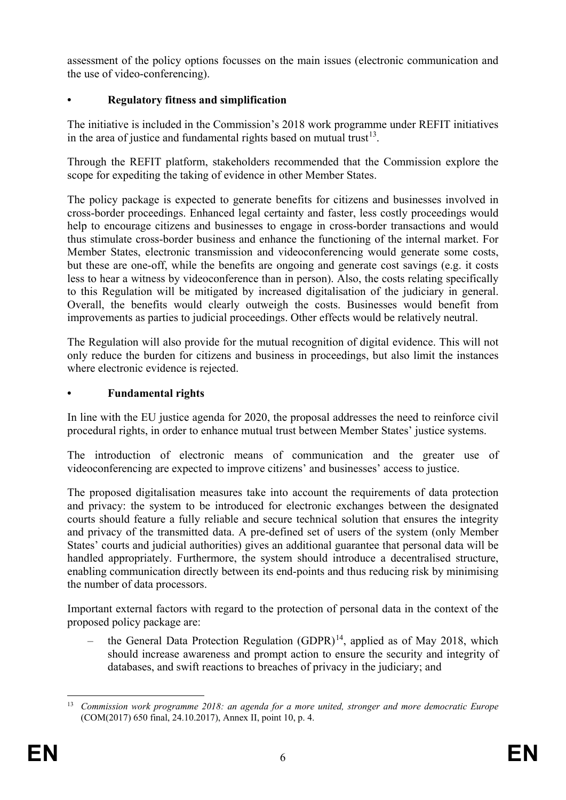assessment of the policy options focusses on the main issues (electronic communication and the use of video-conferencing).

# **• Regulatory fitness and simplification**

The initiative is included in the Commission's 2018 work programme under REFIT initiatives in the area of justice and fundamental rights based on mutual trust<sup>[13](#page-7-0)</sup>.

Through the REFIT platform, stakeholders recommended that the Commission explore the scope for expediting the taking of evidence in other Member States.

The policy package is expected to generate benefits for citizens and businesses involved in cross-border proceedings. Enhanced legal certainty and faster, less costly proceedings would help to encourage citizens and businesses to engage in cross-border transactions and would thus stimulate cross-border business and enhance the functioning of the internal market. For Member States, electronic transmission and videoconferencing would generate some costs, but these are one-off, while the benefits are ongoing and generate cost savings (e.g. it costs less to hear a witness by videoconference than in person). Also, the costs relating specifically to this Regulation will be mitigated by increased digitalisation of the judiciary in general. Overall, the benefits would clearly outweigh the costs. Businesses would benefit from improvements as parties to judicial proceedings. Other effects would be relatively neutral.

The Regulation will also provide for the mutual recognition of digital evidence. This will not only reduce the burden for citizens and business in proceedings, but also limit the instances where electronic evidence is rejected.

## **• Fundamental rights**

In line with the EU justice agenda for 2020, the proposal addresses the need to reinforce civil procedural rights, in order to enhance mutual trust between Member States' justice systems.

The introduction of electronic means of communication and the greater use of videoconferencing are expected to improve citizens' and businesses' access to justice.

The proposed digitalisation measures take into account the requirements of data protection and privacy: the system to be introduced for electronic exchanges between the designated courts should feature a fully reliable and secure technical solution that ensures the integrity and privacy of the transmitted data. A pre-defined set of users of the system (only Member States' courts and judicial authorities) gives an additional guarantee that personal data will be handled appropriately. Furthermore, the system should introduce a decentralised structure, enabling communication directly between its end-points and thus reducing risk by minimising the number of data processors.

Important external factors with regard to the protection of personal data in the context of the proposed policy package are:

the General Data Protection Regulation  $(GDPR)^{14}$  $(GDPR)^{14}$  $(GDPR)^{14}$ , applied as of May 2018, which should increase awareness and prompt action to ensure the security and integrity of databases, and swift reactions to breaches of privacy in the judiciary; and

<span id="page-7-1"></span><span id="page-7-0"></span> <sup>13</sup> *Commission work programme 2018: an agenda for a more united, stronger and more democratic Europe* (COM(2017) 650 final, 24.10.2017), Annex II, point 10, p. 4.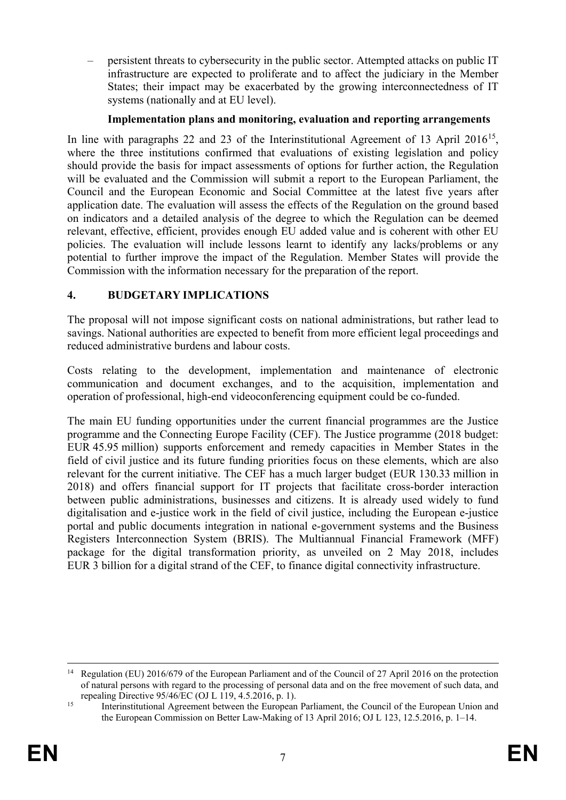– persistent threats to cybersecurity in the public sector. Attempted attacks on public IT infrastructure are expected to proliferate and to affect the judiciary in the Member States; their impact may be exacerbated by the growing interconnectedness of IT systems (nationally and at EU level).

### **Implementation plans and monitoring, evaluation and reporting arrangements**

In line with paragraphs 22 and 23 of the Interinstitutional Agreement of 13 April 2016<sup>15</sup>, where the three institutions confirmed that evaluations of existing legislation and policy should provide the basis for impact assessments of options for further action, the Regulation will be evaluated and the Commission will submit a report to the European Parliament, the Council and the European Economic and Social Committee at the latest five years after application date. The evaluation will assess the effects of the Regulation on the ground based on indicators and a detailed analysis of the degree to which the Regulation can be deemed relevant, effective, efficient, provides enough EU added value and is coherent with other EU policies. The evaluation will include lessons learnt to identify any lacks/problems or any potential to further improve the impact of the Regulation. Member States will provide the Commission with the information necessary for the preparation of the report.

### **4. BUDGETARY IMPLICATIONS**

The proposal will not impose significant costs on national administrations, but rather lead to savings. National authorities are expected to benefit from more efficient legal proceedings and reduced administrative burdens and labour costs.

Costs relating to the development, implementation and maintenance of electronic communication and document exchanges, and to the acquisition, implementation and operation of professional, high-end videoconferencing equipment could be co-funded.

The main EU funding opportunities under the current financial programmes are the Justice programme and the Connecting Europe Facility (CEF). The Justice programme (2018 budget: EUR 45.95 million) supports enforcement and remedy capacities in Member States in the field of civil justice and its future funding priorities focus on these elements, which are also relevant for the current initiative. The CEF has a much larger budget (EUR 130.33 million in 2018) and offers financial support for IT projects that facilitate cross-border interaction between public administrations, businesses and citizens. It is already used widely to fund digitalisation and e-justice work in the field of civil justice, including the European e-justice portal and public documents integration in national e-government systems and the Business Registers Interconnection System (BRIS). The Multiannual Financial Framework (MFF) package for the digital transformation priority, as unveiled on 2 May 2018, includes EUR 3 billion for a digital strand of the CEF, to finance digital connectivity infrastructure.

<sup>&</sup>lt;sup>14</sup> Regulation (EU) 2016/679 of the European Parliament and of the Council of 27 April 2016 on the protection of natural persons with regard to the processing of personal data and on the free movement of such data, and repealing Directive 95/46/EC (OJ L 119, 4.5.2016, p. 1).

<span id="page-8-0"></span><sup>&</sup>lt;sup>15</sup> Interinstitutional Agreement between the European Parliament, the Council of the European Union and the European Commission on Better Law-Making of 13 April 2016; OJ L 123, 12.5.2016, p. 1–14.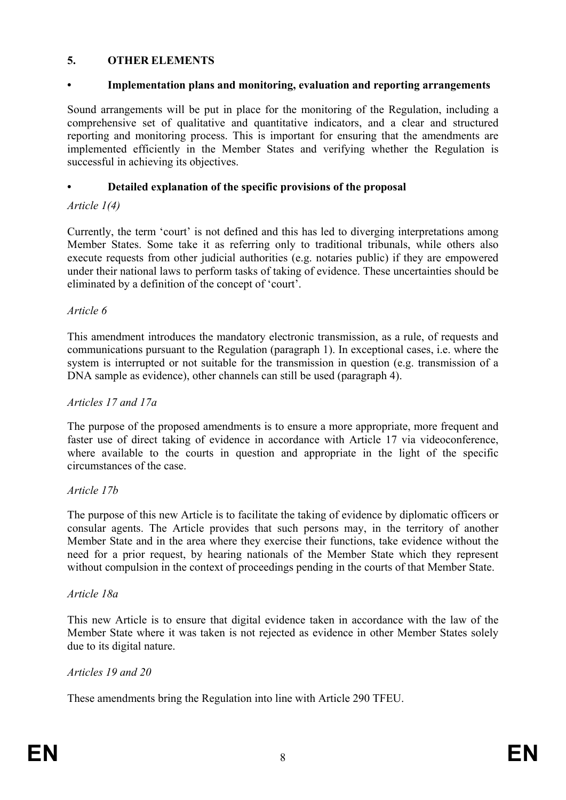### **5. OTHER ELEMENTS**

#### **• Implementation plans and monitoring, evaluation and reporting arrangements**

Sound arrangements will be put in place for the monitoring of the Regulation, including a comprehensive set of qualitative and quantitative indicators, and a clear and structured reporting and monitoring process. This is important for ensuring that the amendments are implemented efficiently in the Member States and verifying whether the Regulation is successful in achieving its objectives.

### **• Detailed explanation of the specific provisions of the proposal**

#### *Article 1(4)*

Currently, the term 'court' is not defined and this has led to diverging interpretations among Member States. Some take it as referring only to traditional tribunals, while others also execute requests from other judicial authorities (e.g. notaries public) if they are empowered under their national laws to perform tasks of taking of evidence. These uncertainties should be eliminated by a definition of the concept of 'court'.

#### *Article 6*

This amendment introduces the mandatory electronic transmission, as a rule, of requests and communications pursuant to the Regulation (paragraph 1). In exceptional cases, i.e. where the system is interrupted or not suitable for the transmission in question (e.g. transmission of a DNA sample as evidence), other channels can still be used (paragraph 4).

#### *Articles 17 and 17a*

The purpose of the proposed amendments is to ensure a more appropriate, more frequent and faster use of direct taking of evidence in accordance with Article 17 via videoconference, where available to the courts in question and appropriate in the light of the specific circumstances of the case.

#### *Article 17b*

The purpose of this new Article is to facilitate the taking of evidence by diplomatic officers or consular agents. The Article provides that such persons may, in the territory of another Member State and in the area where they exercise their functions, take evidence without the need for a prior request, by hearing nationals of the Member State which they represent without compulsion in the context of proceedings pending in the courts of that Member State.

#### *Article 18a*

This new Article is to ensure that digital evidence taken in accordance with the law of the Member State where it was taken is not rejected as evidence in other Member States solely due to its digital nature.

#### *Articles 19 and 20*

These amendments bring the Regulation into line with Article 290 TFEU.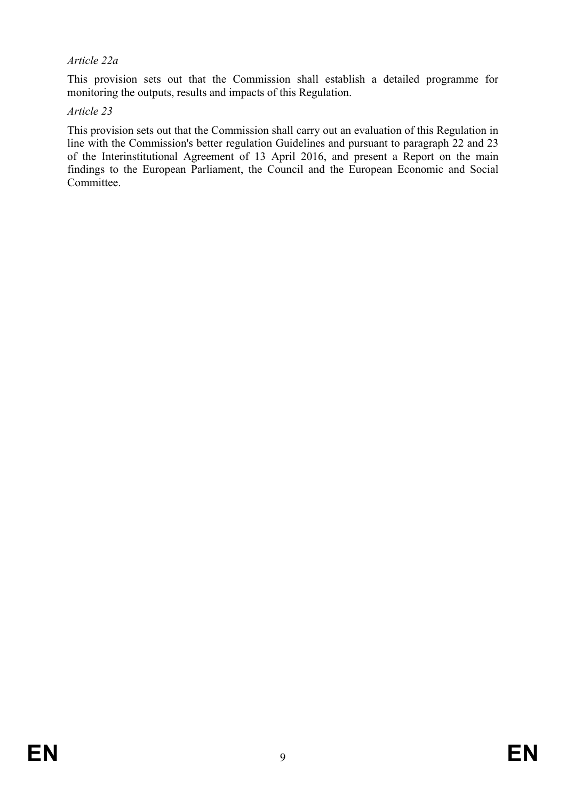### *Article 22a*

This provision sets out that the Commission shall establish a detailed programme for monitoring the outputs, results and impacts of this Regulation.

#### *Article 23*

This provision sets out that the Commission shall carry out an evaluation of this Regulation in line with the Commission's better regulation Guidelines and pursuant to paragraph 22 and 23 of the Interinstitutional Agreement of 13 April 2016, and present a Report on the main findings to the European Parliament, the Council and the European Economic and Social Committee.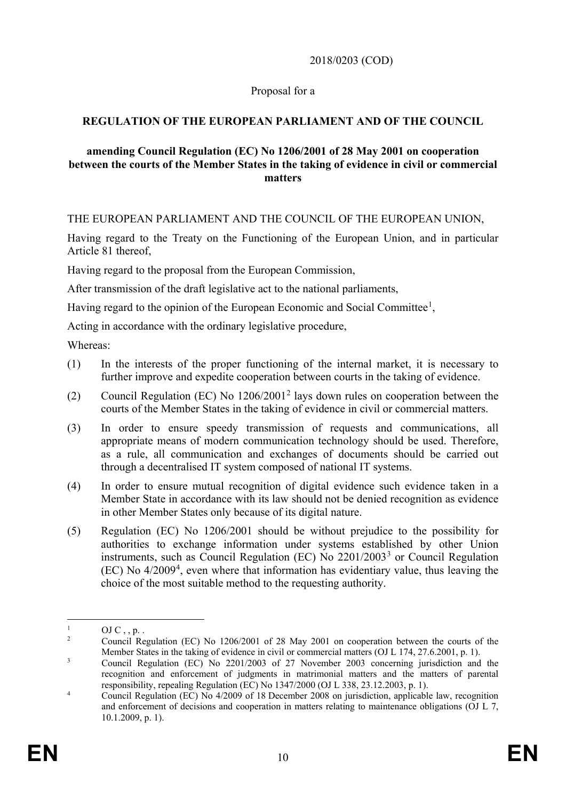2018/0203 (COD)

### Proposal for a

## **REGULATION OF THE EUROPEAN PARLIAMENT AND OF THE COUNCIL**

#### **amending Council Regulation (EC) No 1206/2001 of 28 May 2001 on cooperation between the courts of the Member States in the taking of evidence in civil or commercial matters**

THE EUROPEAN PARLIAMENT AND THE COUNCIL OF THE EUROPEAN UNION,

Having regard to the Treaty on the Functioning of the European Union, and in particular Article 81 thereof,

Having regard to the proposal from the European Commission,

After transmission of the draft legislative act to the national parliaments,

Having regard to the opinion of the European Economic and Social Committee<sup>[1](#page-11-0)</sup>,

Acting in accordance with the ordinary legislative procedure,

Whereas:

- (1) In the interests of the proper functioning of the internal market, it is necessary to further improve and expedite cooperation between courts in the taking of evidence.
- (2) Council Regulation (EC) No 1206/2001[2](#page-11-1) lays down rules on cooperation between the courts of the Member States in the taking of evidence in civil or commercial matters.
- (3) In order to ensure speedy transmission of requests and communications, all appropriate means of modern communication technology should be used. Therefore, as a rule, all communication and exchanges of documents should be carried out through a decentralised IT system composed of national IT systems.
- (4) In order to ensure mutual recognition of digital evidence such evidence taken in a Member State in accordance with its law should not be denied recognition as evidence in other Member States only because of its digital nature.
- (5) Regulation (EC) No 1206/2001 should be without prejudice to the possibility for authorities to exchange information under systems established by other Union instruments, such as Council Regulation (EC) No 2201/2003[3](#page-11-2) or Council Regulation (EC) No 4/2009[4](#page-11-3) , even where that information has evidentiary value, thus leaving the choice of the most suitable method to the requesting authority.

<span id="page-11-0"></span> $\frac{1}{2}$  OJ C, , p. .

<span id="page-11-1"></span><sup>2</sup> Council Regulation (EC) No 1206/2001 of 28 May 2001 on cooperation between the courts of the Member States in the taking of evidence in civil or commercial matters (OJ L 174, 27.6.2001, p. 1).

<span id="page-11-2"></span><sup>&</sup>lt;sup>3</sup> Council Regulation (EC) No 2201/2003 of 27 November 2003 concerning jurisdiction and the recognition and enforcement of judgments in matrimonial matters and the matters of parental responsibility, repealing Regulation (EC) No 1347/2000 (OJ L 338, 23.12.2003, p. 1).

<span id="page-11-3"></span><sup>&</sup>lt;sup>4</sup> Council Regulation (EC) No 4/2009 of 18 December 2008 on jurisdiction, applicable law, recognition and enforcement of decisions and cooperation in matters relating to maintenance obligations (OJ L 7, 10.1.2009, p. 1).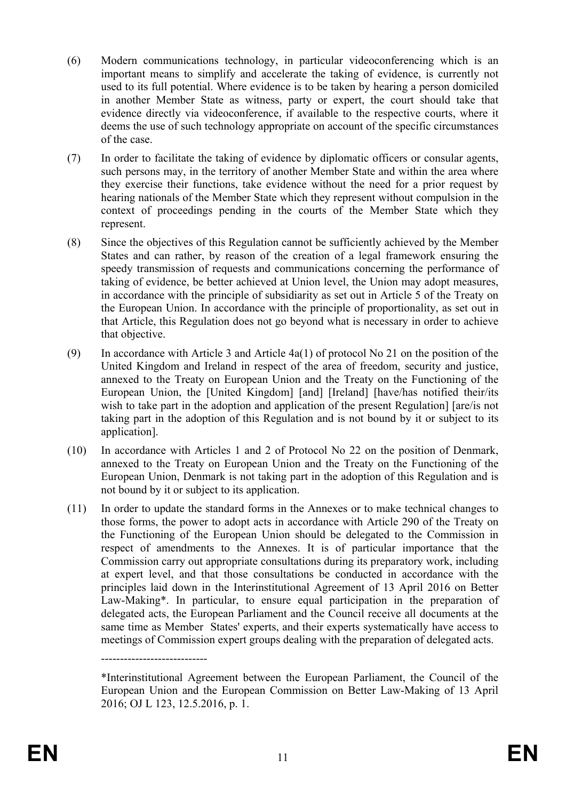- (6) Modern communications technology, in particular videoconferencing which is an important means to simplify and accelerate the taking of evidence, is currently not used to its full potential. Where evidence is to be taken by hearing a person domiciled in another Member State as witness, party or expert, the court should take that evidence directly via videoconference, if available to the respective courts, where it deems the use of such technology appropriate on account of the specific circumstances of the case.
- (7) In order to facilitate the taking of evidence by diplomatic officers or consular agents, such persons may, in the territory of another Member State and within the area where they exercise their functions, take evidence without the need for a prior request by hearing nationals of the Member State which they represent without compulsion in the context of proceedings pending in the courts of the Member State which they represent.
- (8) Since the objectives of this Regulation cannot be sufficiently achieved by the Member States and can rather, by reason of the creation of a legal framework ensuring the speedy transmission of requests and communications concerning the performance of taking of evidence, be better achieved at Union level, the Union may adopt measures, in accordance with the principle of subsidiarity as set out in Article 5 of the Treaty on the European Union. In accordance with the principle of proportionality, as set out in that Article, this Regulation does not go beyond what is necessary in order to achieve that objective.
- (9) In accordance with Article 3 and Article 4a(1) of protocol No 21 on the position of the United Kingdom and Ireland in respect of the area of freedom, security and justice, annexed to the Treaty on European Union and the Treaty on the Functioning of the European Union, the [United Kingdom] [and] [Ireland] [have/has notified their/its wish to take part in the adoption and application of the present Regulation [ [are/is not taking part in the adoption of this Regulation and is not bound by it or subject to its application].
- (10) In accordance with Articles 1 and 2 of Protocol No 22 on the position of Denmark, annexed to the Treaty on European Union and the Treaty on the Functioning of the European Union, Denmark is not taking part in the adoption of this Regulation and is not bound by it or subject to its application.
- (11) In order to update the standard forms in the Annexes or to make technical changes to those forms, the power to adopt acts in accordance with Article 290 of the Treaty on the Functioning of the European Union should be delegated to the Commission in respect of amendments to the Annexes. It is of particular importance that the Commission carry out appropriate consultations during its preparatory work, including at expert level, and that those consultations be conducted in accordance with the principles laid down in the Interinstitutional Agreement of 13 April 2016 on Better Law-Making\*. In particular, to ensure equal participation in the preparation of delegated acts, the European Parliament and the Council receive all documents at the same time as Member States' experts, and their experts systematically have access to meetings of Commission expert groups dealing with the preparation of delegated acts.

----------------------------

<sup>\*</sup>Interinstitutional Agreement between the European Parliament, the Council of the European Union and the European Commission on Better Law-Making of 13 April 2016; OJ L 123, 12.5.2016, p. 1.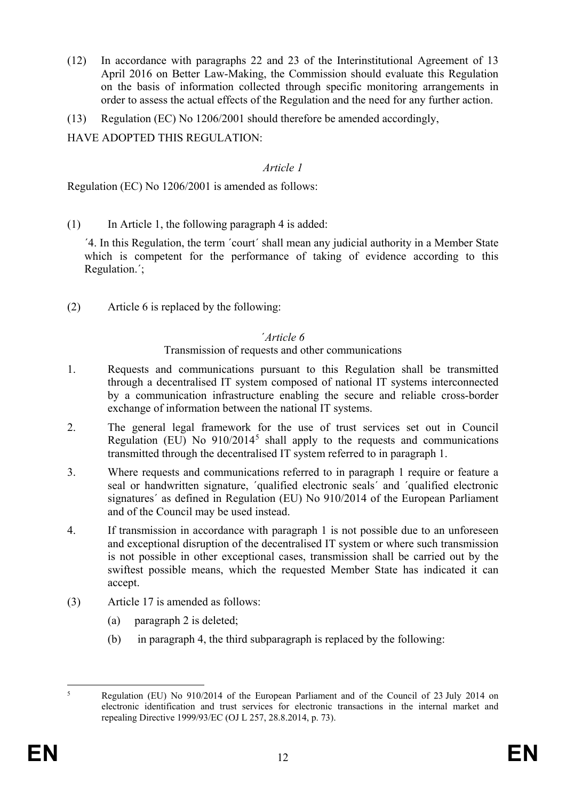- (12) In accordance with paragraphs 22 and 23 of the Interinstitutional Agreement of 13 April 2016 on Better Law-Making, the Commission should evaluate this Regulation on the basis of information collected through specific monitoring arrangements in order to assess the actual effects of the Regulation and the need for any further action.
- (13) Regulation (EC) No 1206/2001 should therefore be amended accordingly,

HAVE ADOPTED THIS REGULATION:

## *Article 1*

Regulation (EC) No 1206/2001 is amended as follows:

 $(1)$  In Article 1, the following paragraph 4 is added:

´4. In this Regulation, the term ´court´ shall mean any judicial authority in a Member State which is competent for the performance of taking of evidence according to this Regulation.´;

(2) Article 6 is replaced by the following:

### ´*Article 6*

### Transmission of requests and other communications

- 1. Requests and communications pursuant to this Regulation shall be transmitted through a decentralised IT system composed of national IT systems interconnected by a communication infrastructure enabling the secure and reliable cross-border exchange of information between the national IT systems.
- 2. The general legal framework for the use of trust services set out in Council Regulation (EU) No  $910/2014^5$  $910/2014^5$  shall apply to the requests and communications transmitted through the decentralised IT system referred to in paragraph 1.
- 3. Where requests and communications referred to in paragraph 1 require or feature a seal or handwritten signature, ´qualified electronic seals´ and ´qualified electronic signatures´ as defined in Regulation (EU) No 910/2014 of the European Parliament and of the Council may be used instead.
- 4. If transmission in accordance with paragraph 1 is not possible due to an unforeseen and exceptional disruption of the decentralised IT system or where such transmission is not possible in other exceptional cases, transmission shall be carried out by the swiftest possible means, which the requested Member State has indicated it can accept.
- (3) Article 17 is amended as follows:
	- (a) paragraph 2 is deleted;
	- (b) in paragraph 4, the third subparagraph is replaced by the following:

<span id="page-13-0"></span> <sup>5</sup> Regulation (EU) No 910/2014 of the European Parliament and of the Council of 23 July 2014 on electronic identification and trust services for electronic transactions in the internal market and repealing Directive 1999/93/EC (OJ L 257, 28.8.2014, p. 73).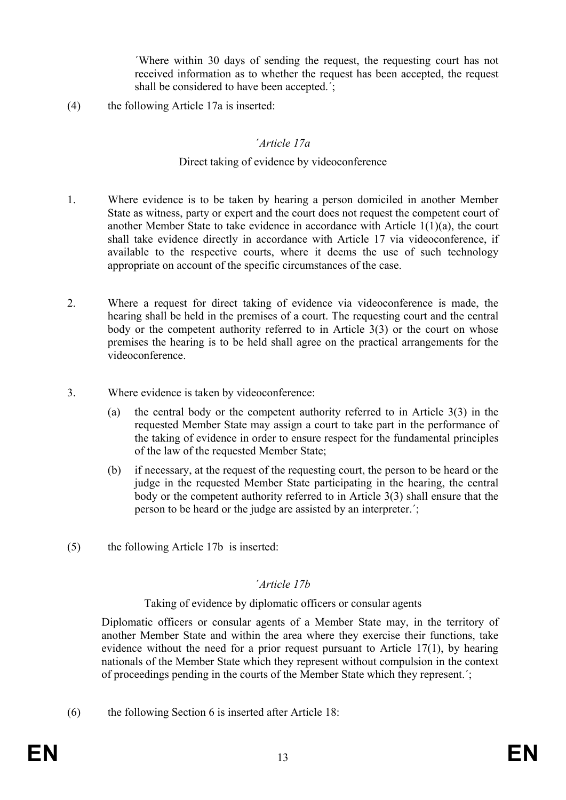´Where within 30 days of sending the request, the requesting court has not received information as to whether the request has been accepted, the request shall be considered to have been accepted.´;

(4) the following Article 17a is inserted:

### ´*Article 17a*

#### Direct taking of evidence by videoconference

- 1. Where evidence is to be taken by hearing a person domiciled in another Member State as witness, party or expert and the court does not request the competent court of another Member State to take evidence in accordance with Article 1(1)(a), the court shall take evidence directly in accordance with Article 17 via videoconference, if available to the respective courts, where it deems the use of such technology appropriate on account of the specific circumstances of the case.
- 2. Where a request for direct taking of evidence via videoconference is made, the hearing shall be held in the premises of a court. The requesting court and the central body or the competent authority referred to in Article 3(3) or the court on whose premises the hearing is to be held shall agree on the practical arrangements for the videoconference.
- 3. Where evidence is taken by videoconference:
	- (a) the central body or the competent authority referred to in Article 3(3) in the requested Member State may assign a court to take part in the performance of the taking of evidence in order to ensure respect for the fundamental principles of the law of the requested Member State;
	- (b) if necessary, at the request of the requesting court, the person to be heard or the judge in the requested Member State participating in the hearing, the central body or the competent authority referred to in Article 3(3) shall ensure that the person to be heard or the judge are assisted by an interpreter.´;
- (5) the following Article 17b is inserted:

### ´*Article 17b*

### Taking of evidence by diplomatic officers or consular agents

Diplomatic officers or consular agents of a Member State may, in the territory of another Member State and within the area where they exercise their functions, take evidence without the need for a prior request pursuant to Article 17(1), by hearing nationals of the Member State which they represent without compulsion in the context of proceedings pending in the courts of the Member State which they represent.´;

(6) the following Section 6 is inserted after Article 18: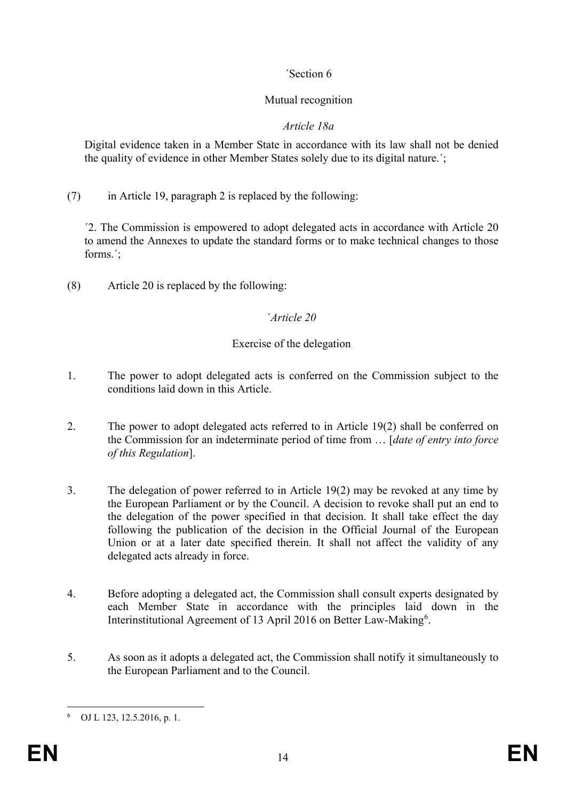# ´Section 6

# Mutual recognition

## *Article 18a*

Digital evidence taken in a Member State in accordance with its law shall not be denied the quality of evidence in other Member States solely due to its digital nature.´;

(7) in Article 19, paragraph 2 is replaced by the following:

´2. The Commission is empowered to adopt delegated acts in accordance with Article 20 to amend the Annexes to update the standard forms or to make technical changes to those forms.´;

(8) Article 20 is replaced by the following:

## ´*Article 20*

# Exercise of the delegation

- 1. The power to adopt delegated acts is conferred on the Commission subject to the conditions laid down in this Article.
- 2. The power to adopt delegated acts referred to in Article 19(2) shall be conferred on the Commission for an indeterminate period of time from … [*date of entry into force of this Regulation*].
- 3. The delegation of power referred to in Article 19(2) may be revoked at any time by the European Parliament or by the Council. A decision to revoke shall put an end to the delegation of the power specified in that decision. It shall take effect the day following the publication of the decision in the Official Journal of the European Union or at a later date specified therein. It shall not affect the validity of any delegated acts already in force.
- 4. Before adopting a delegated act, the Commission shall consult experts designated by each Member State in accordance with the principles laid down in the Interinstitutional Agreement of 13 April 201[6](#page-15-0) on Better Law-Making<sup>6</sup>.
- 5. As soon as it adopts a delegated act, the Commission shall notify it simultaneously to the European Parliament and to the Council.

<span id="page-15-0"></span> <sup>6</sup> OJ L 123, 12.5.2016, p. 1.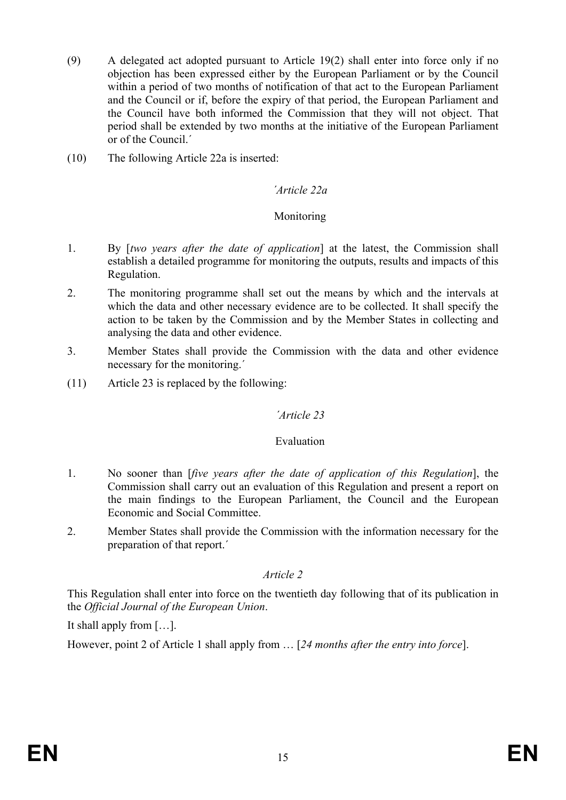- (9) A delegated act adopted pursuant to Article 19(2) shall enter into force only if no objection has been expressed either by the European Parliament or by the Council within a period of two months of notification of that act to the European Parliament and the Council or if, before the expiry of that period, the European Parliament and the Council have both informed the Commission that they will not object. That period shall be extended by two months at the initiative of the European Parliament or of the Council.´
- (10) The following Article 22a is inserted:

### *´Article 22a*

#### Monitoring

- 1. By [*two years after the date of application*] at the latest, the Commission shall establish a detailed programme for monitoring the outputs, results and impacts of this Regulation.
- 2. The monitoring programme shall set out the means by which and the intervals at which the data and other necessary evidence are to be collected. It shall specify the action to be taken by the Commission and by the Member States in collecting and analysing the data and other evidence.
- 3. Member States shall provide the Commission with the data and other evidence necessary for the monitoring.´
- (11) Article 23 is replaced by the following:

### *´Article 23*

#### Evaluation

- 1. No sooner than [*five years after the date of application of this Regulation*], the Commission shall carry out an evaluation of this Regulation and present a report on the main findings to the European Parliament, the Council and the European Economic and Social Committee.
- 2. Member States shall provide the Commission with the information necessary for the preparation of that report.´

#### *Article 2*

This Regulation shall enter into force on the twentieth day following that of its publication in the *Official Journal of the European Union*.

It shall apply from […].

However, point 2 of Article 1 shall apply from … [*24 months after the entry into force*].